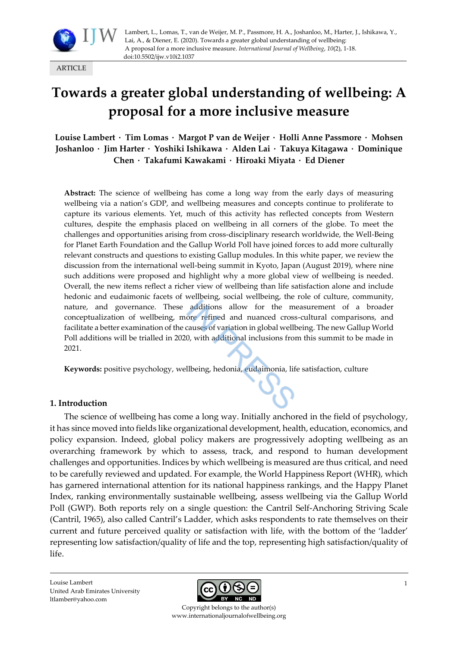

Lambert, L., Lomas, T., van de Weijer, M. P., Passmore, H. A., Joshanloo, M., Harter, J., Ishikawa, Y., Lai, A., & Diener, E. (2020). Towards a greater global understanding of wellbeing: A proposal for a more inclusive measure. *International Journal of Wellbeing*, *10*(2), 1-18. doi:10.5502/ijw.v10i2.1037

ARTICLE

# **Towards a greater global understanding of wellbeing: A proposal for a more inclusive measure**

**Louise Lambert · Tim Lomas · Margot P van de Weijer · Holli Anne Passmore · Mohsen Joshanloo · Jim Harter · Yoshiki Ishikawa · Alden Lai · Takuya Kitagawa · Dominique Chen · Takafumi Kawakami · Hiroaki Miyata · Ed Diener**

**Abstract:** The science of wellbeing has come a long way from the early days of measuring wellbeing via a nation's GDP, and wellbeing measures and concepts continue to proliferate to capture its various elements. Yet, much of this activity has reflected concepts from Western cultures, despite the emphasis placed on wellbeing in all corners of the globe. To meet the challenges and opportunities arising from cross-disciplinary research worldwide, the Well-Being for Planet Earth Foundation and the Gallup World Poll have joined forces to add more culturally relevant constructs and questions to existing Gallup modules. In this white paper, we review the discussion from the international well-being summit in Kyoto, Japan (August 2019), where nine such additions were proposed and highlight why a more global view of wellbeing is needed. Overall, the new items reflect a richer view of wellbeing than life satisfaction alone and include hedonic and eudaimonic facets of wellbeing, social wellbeing, the role of culture, community, nature, and governance. These additions allow for the measurement of a broader conceptualization of wellbeing, more refined and nuanced cross-cultural comparisons, and facilitate a better examination of the causes of variation in global wellbeing. The new Gallup World Poll additions will be trialled in 2020, with additional inclusions from this summit to be made in 2021.

**Keywords:** positive psychology, wellbeing, hedonia, eudaimonia, life satisfaction, culture

#### **1. Introduction**

The science of wellbeing has come a long way. Initially anchored in the field of psychology, it has since moved into fields like organizational development, health, education, economics, and policy expansion. Indeed, global policy makers are progressively adopting wellbeing as an overarching framework by which to assess, track, and respond to human development challenges and opportunities. Indices by which wellbeing is measured are thus critical, and need to be carefully reviewed and updated. For example, the World Happiness Report (WHR), which has garnered international attention for its national happiness rankings, and the Happy Planet Index, ranking environmentally sustainable wellbeing, assess wellbeing via the Gallup World Poll (GWP). Both reports rely on a single question: the Cantril Self-Anchoring Striving Scale (Cantril, 1965), also called Cantril's Ladder, which asks respondents to rate themselves on their current and future perceived quality or satisfaction with life, with the bottom of the 'ladder' representing low satisfaction/quality of life and the top, representing high satisfaction/quality of life.

Louise Lambert United Arab Emirates University ltlamber@yahoo.com



Copyright belongs to the author(s) www.internationaljournalofwellbeing.org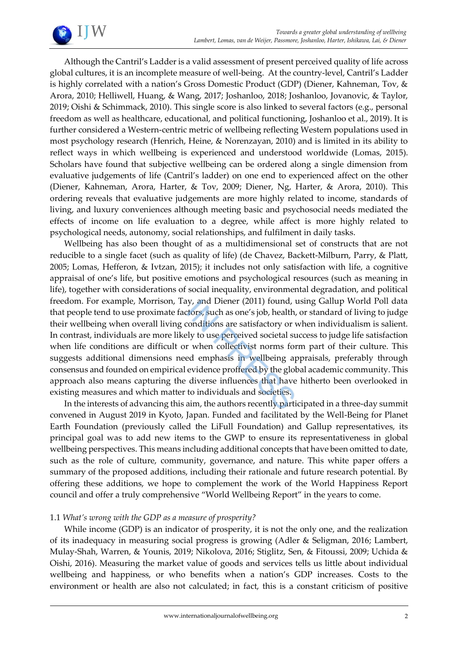

Although the Cantril's Ladder is a valid assessment of present perceived quality of life across global cultures, it is an incomplete measure of well-being. At the country-level, Cantril's Ladder is highly correlated with a nation's Gross Domestic Product (GDP) (Diener, Kahneman, Tov, & Arora, 2010; Helliwell, Huang, & Wang, 2017; Joshanloo, 2018; Joshanloo, Jovanovic, & Taylor, 2019; Oishi & Schimmack, 2010). This single score is also linked to several factors (e.g., personal freedom as well as healthcare, educational, and political functioning, Joshanloo et al., 2019). It is further considered a Western-centric metric of wellbeing reflecting Western populations used in most psychology research (Henrich, Heine, & Norenzayan, 2010) and is limited in its ability to reflect ways in which wellbeing is experienced and understood worldwide (Lomas, 2015). Scholars have found that subjective wellbeing can be ordered along a single dimension from evaluative judgements of life (Cantril's ladder) on one end to experienced affect on the other (Diener, Kahneman, Arora, Harter, & Tov, 2009; Diener, Ng, Harter, & Arora, 2010). This ordering reveals that evaluative judgements are more highly related to income, standards of living, and luxury conveniences although meeting basic and psychosocial needs mediated the effects of income on life evaluation to a degree, while affect is more highly related to psychological needs, autonomy, social relationships, and fulfilment in daily tasks.

Wellbeing has also been thought of as a multidimensional set of constructs that are not reducible to a single facet (such as quality of life) (de Chavez, Backett-Milburn, Parry, & Platt, 2005; Lomas, Hefferon, & Ivtzan, 2015); it includes not only satisfaction with life, a cognitive appraisal of one's life, but positive emotions and psychological resources (such as meaning in life), together with considerations of social inequality, environmental degradation, and political freedom. For example, Morrison, Tay, and Diener (2011) found, using Gallup World Poll data that people tend to use proximate factors, such as one's job, health, or standard of living to judge their wellbeing when overall living conditions are satisfactory or when individualism is salient. In contrast, individuals are more likely to use perceived societal success to judge life satisfaction when life conditions are difficult or when collectivist norms form part of their culture. This suggests additional dimensions need emphasis in wellbeing appraisals, preferably through consensus and founded on empirical evidence proffered by the global academic community. This approach also means capturing the diverse influences that have hitherto been overlooked in existing measures and which matter to individuals and societies.

In the interests of advancing this aim, the authors recently participated in a three-day summit convened in August 2019 in Kyoto, Japan. Funded and facilitated by the Well-Being for Planet Earth Foundation (previously called the LiFull Foundation) and Gallup representatives, its principal goal was to add new items to the GWP to ensure its representativeness in global wellbeing perspectives. This means including additional concepts that have been omitted to date, such as the role of culture, community, governance, and nature. This white paper offers a summary of the proposed additions, including their rationale and future research potential. By offering these additions, we hope to complement the work of the World Happiness Report council and offer a truly comprehensive "World Wellbeing Report" in the years to come.

## 1.1 *What's wrong with the GDP as a measure of prosperity?*

While income (GDP) is an indicator of prosperity, it is not the only one, and the realization of its inadequacy in measuring social progress is growing (Adler & Seligman, 2016; Lambert, Mulay-Shah, Warren, & Younis, 2019; Nikolova, 2016; Stiglitz, Sen, & Fitoussi, 2009; Uchida & Oishi, 2016). Measuring the market value of goods and services tells us little about individual wellbeing and happiness, or who benefits when a nation's GDP increases. Costs to the environment or health are also not calculated; in fact, this is a constant criticism of positive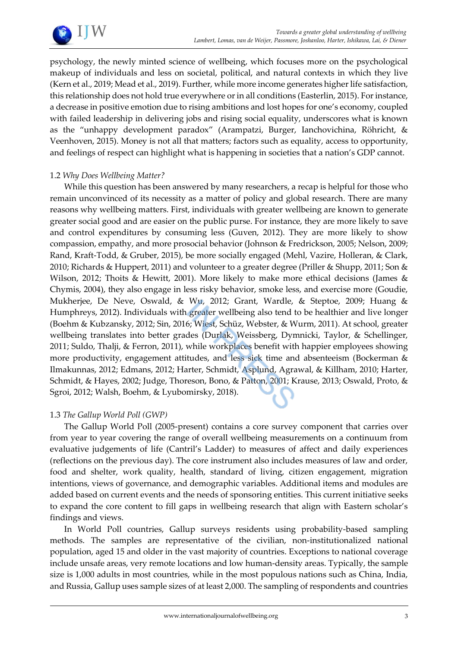

psychology, the newly minted science of wellbeing, which focuses more on the psychological makeup of individuals and less on societal, political, and natural contexts in which they live (Kern et al., 2019; Mead et al., 2019). Further, while more income generates higher life satisfaction, this relationship does not hold true everywhere or in all conditions (Easterlin, 2015). For instance, a decrease in positive emotion due to rising ambitions and lost hopes for one's economy, coupled with failed leadership in delivering jobs and rising social equality, underscores what is known as the "unhappy development paradox" (Arampatzi, Burger, Ianchovichina, Röhricht, & Veenhoven, 2015). Money is not all that matters; factors such as equality, access to opportunity, and feelings of respect can highlight what is happening in societies that a nation's GDP cannot.

#### 1.2 *Why Does Wellbeing Matter?*

While this question has been answered by many researchers, a recap is helpful for those who remain unconvinced of its necessity as a matter of policy and global research. There are many reasons why wellbeing matters. First, individuals with greater wellbeing are known to generate greater social good and are easier on the public purse. For instance, they are more likely to save and control expenditures by consuming less (Guven, 2012). They are more likely to show compassion, empathy, and more prosocial behavior (Johnson & Fredrickson, 2005; Nelson, 2009; Rand, Kraft-Todd, & Gruber, 2015), be more socially engaged (Mehl, Vazire, Holleran, & Clark, 2010; Richards & Huppert, 2011) and volunteer to a greater degree (Priller & Shupp, 2011; Son & Wilson, 2012; Thoits & Hewitt, 2001). More likely to make more ethical decisions (James & Chymis, 2004), they also engage in less risky behavior, smoke less, and exercise more (Goudie, Mukherjee, De Neve, Oswald, & Wu, 2012; Grant, Wardle, & Steptoe, 2009; Huang & Humphreys, 2012). Individuals with greater wellbeing also tend to be healthier and live longer (Boehm & Kubzansky, 2012; Sin, 2016; Wiest, Schüz, Webster, & Wurm, 2011). At school, greater wellbeing translates into better grades (Durlak, Weissberg, Dymnicki, Taylor, & Schellinger, 2011; Suldo, Thalji, & Ferron, 2011), while workplaces benefit with happier employees showing more productivity, engagement attitudes, and less sick time and absenteeism (Bockerman & Ilmakunnas, 2012; Edmans, 2012; Harter, Schmidt, Asplund, Agrawal, & Killham, 2010; Harter, Schmidt, & Hayes, 2002; Judge, Thoreson, Bono, & Patton, 2001; Krause, 2013; Oswald, Proto, & Sgroi, 2012; Walsh, Boehm, & Lyubomirsky, 2018).

#### 1.3 *The Gallup World Poll (GWP)*

The Gallup World Poll (2005-present) contains a core survey component that carries over from year to year covering the range of overall wellbeing measurements on a continuum from evaluative judgements of life (Cantril's Ladder) to measures of affect and daily experiences (reflections on the previous day). The core instrument also includes measures of law and order, food and shelter, work quality, health, standard of living, citizen engagement, migration intentions, views of governance, and demographic variables. Additional items and modules are added based on current events and the needs of sponsoring entities. This current initiative seeks to expand the core content to fill gaps in wellbeing research that align with Eastern scholar's findings and views.

In World Poll countries, Gallup surveys residents using probability-based sampling methods. The samples are representative of the civilian, non-institutionalized national population, aged 15 and older in the vast majority of countries. Exceptions to national coverage include unsafe areas, very remote locations and low human-density areas. Typically, the sample size is 1,000 adults in most countries, while in the most populous nations such as China, India, and Russia, Gallup uses sample sizes of at least 2,000. The sampling of respondents and countries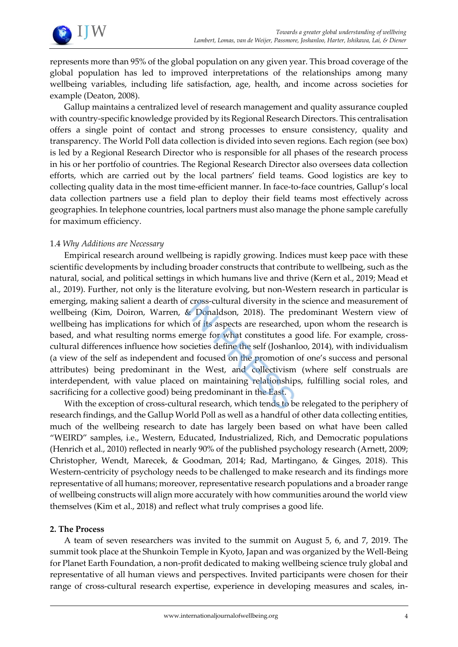

represents more than 95% of the global population on any given year. This broad coverage of the global population has led to improved interpretations of the relationships among many wellbeing variables, including life satisfaction, age, health, and income across societies for example (Deaton, 2008).

Gallup maintains a centralized level of research management and quality assurance coupled with country-specific knowledge provided by its Regional Research Directors. This centralisation offers a single point of contact and strong processes to ensure consistency, quality and transparency. The World Poll data collection is divided into seven regions. Each region (see box) is led by a Regional Research Director who is responsible for all phases of the research process in his or her portfolio of countries. The Regional Research Director also oversees data collection efforts, which are carried out by the local partners' field teams. Good logistics are key to collecting quality data in the most time-efficient manner. In face-to-face countries, Gallup's local data collection partners use a field plan to deploy their field teams most effectively across geographies. In telephone countries, local partners must also manage the phone sample carefully for maximum efficiency.

#### 1.4 *Why Additions are Necessary*

Empirical research around wellbeing is rapidly growing. Indices must keep pace with these scientific developments by including broader constructs that contribute to wellbeing, such as the natural, social, and political settings in which humans live and thrive (Kern et al., 2019; Mead et al., 2019). Further, not only is the literature evolving, but non-Western research in particular is emerging, making salient a dearth of cross-cultural diversity in the science and measurement of wellbeing (Kim, Doiron, Warren, & Donaldson, 2018). The predominant Western view of wellbeing has implications for which of its aspects are researched, upon whom the research is based, and what resulting norms emerge for what constitutes a good life. For example, crosscultural differences influence how societies define the self (Joshanloo, 2014), with individualism (a view of the self as independent and focused on the promotion of one's success and personal attributes) being predominant in the West, and collectivism (where self construals are interdependent, with value placed on maintaining relationships, fulfilling social roles, and sacrificing for a collective good) being predominant in the East.

With the exception of cross-cultural research, which tends to be relegated to the periphery of research findings, and the Gallup World Poll as well as a handful of other data collecting entities, much of the wellbeing research to date has largely been based on what have been called "WEIRD" samples, i.e., Western, Educated, Industrialized, Rich, and Democratic populations (Henrich et al., 2010) reflected in nearly 90% of the published psychology research (Arnett, 2009; Christopher, Wendt, Marecek, & Goodman, 2014; Rad, Martingano, & Ginges, 2018). This Western-centricity of psychology needs to be challenged to make research and its findings more representative of all humans; moreover, representative research populations and a broader range of wellbeing constructs will align more accurately with how communities around the world view themselves (Kim et al., 2018) and reflect what truly comprises a good life.

#### **2. The Process**

A team of seven researchers was invited to the summit on August 5, 6, and 7, 2019. The summit took place at the Shunkoin Temple in Kyoto, Japan and was organized by the Well-Being for Planet Earth Foundation, a non-profit dedicated to making wellbeing science truly global and representative of all human views and perspectives. Invited participants were chosen for their range of cross-cultural research expertise, experience in developing measures and scales, in-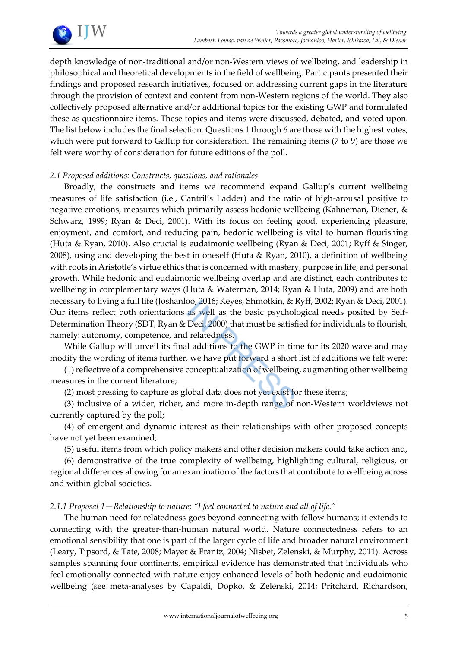

depth knowledge of non-traditional and/or non-Western views of wellbeing, and leadership in philosophical and theoretical developments in the field of wellbeing. Participants presented their findings and proposed research initiatives, focused on addressing current gaps in the literature through the provision of context and content from non-Western regions of the world. They also collectively proposed alternative and/or additional topics for the existing GWP and formulated these as questionnaire items. These topics and items were discussed, debated, and voted upon. The list below includes the final selection. Questions 1 through 6 are those with the highest votes, which were put forward to Gallup for consideration. The remaining items (7 to 9) are those we felt were worthy of consideration for future editions of the poll.

#### *2.1 Proposed additions: Constructs, questions, and rationales*

Broadly, the constructs and items we recommend expand Gallup's current wellbeing measures of life satisfaction (i.e., Cantril's Ladder) and the ratio of high-arousal positive to negative emotions, measures which primarily assess hedonic wellbeing (Kahneman, Diener, & Schwarz, 1999; Ryan & Deci, 2001). With its focus on feeling good, experiencing pleasure, enjoyment, and comfort, and reducing pain, hedonic wellbeing is vital to human flourishing (Huta & Ryan, 2010). Also crucial is eudaimonic wellbeing (Ryan & Deci, 2001; Ryff & Singer, 2008), using and developing the best in oneself (Huta & Ryan, 2010), a definition of wellbeing with roots in Aristotle's virtue ethics that is concerned with mastery, purpose in life, and personal growth. While hedonic and eudaimonic wellbeing overlap and are distinct, each contributes to wellbeing in complementary ways (Huta & Waterman, 2014; Ryan & Huta, 2009) and are both necessary to living a full life (Joshanloo, 2016; Keyes, Shmotkin, & Ryff, 2002; Ryan & Deci, 2001). Our items reflect both orientations as well as the basic psychological needs posited by Self-Determination Theory (SDT, Ryan & Deci, 2000) that must be satisfied for individuals to flourish, namely: autonomy, competence, and relatedness.

While Gallup will unveil its final additions to the GWP in time for its 2020 wave and may modify the wording of items further, we have put forward a short list of additions we felt were:

(1) reflective of a comprehensive conceptualization of wellbeing, augmenting other wellbeing measures in the current literature;

(2) most pressing to capture as global data does not yet exist for these items;

(3) inclusive of a wider, richer, and more in-depth range of non-Western worldviews not currently captured by the poll;

(4) of emergent and dynamic interest as their relationships with other proposed concepts have not yet been examined;

(5) useful items from which policy makers and other decision makers could take action and,

(6) demonstrative of the true complexity of wellbeing, highlighting cultural, religious, or regional differences allowing for an examination of the factors that contribute to wellbeing across and within global societies.

#### *2.1.1 Proposal 1—Relationship to nature: "I feel connected to nature and all of life."*

The human need for relatedness goes beyond connecting with fellow humans; it extends to connecting with the greater-than-human natural world. Nature connectedness refers to an emotional sensibility that one is part of the larger cycle of life and broader natural environment (Leary, Tipsord, & Tate, 2008; Mayer & Frantz, 2004; Nisbet, Zelenski, & Murphy, 2011). Across samples spanning four continents, empirical evidence has demonstrated that individuals who feel emotionally connected with nature enjoy enhanced levels of both hedonic and eudaimonic wellbeing (see meta-analyses by Capaldi, Dopko, & Zelenski, 2014; Pritchard, Richardson,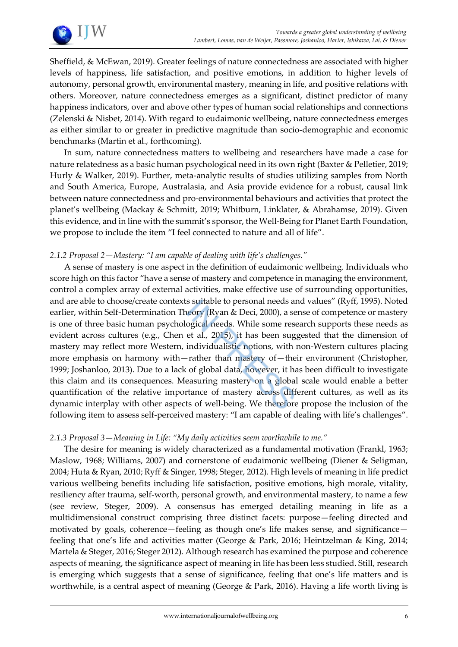

Sheffield, & McEwan, 2019). Greater feelings of nature connectedness are associated with higher levels of happiness, life satisfaction, and positive emotions, in addition to higher levels of autonomy, personal growth, environmental mastery, meaning in life, and positive relations with others. Moreover, nature connectedness emerges as a significant, distinct predictor of many happiness indicators, over and above other types of human social relationships and connections (Zelenski & Nisbet, 2014). With regard to eudaimonic wellbeing, nature connectedness emerges as either similar to or greater in predictive magnitude than socio-demographic and economic benchmarks (Martin et al., forthcoming).

In sum, nature connectedness matters to wellbeing and researchers have made a case for nature relatedness as a basic human psychological need in its own right (Baxter & Pelletier, 2019; Hurly & Walker, 2019). Further, meta-analytic results of studies utilizing samples from North and South America, Europe, Australasia, and Asia provide evidence for a robust, causal link between nature connectedness and pro-environmental behaviours and activities that protect the planet's wellbeing (Mackay & Schmitt, 2019; Whitburn, Linklater, & Abrahamse, 2019). Given this evidence, and in line with the summit's sponsor, the Well-Being for Planet Earth Foundation, we propose to include the item "I feel connected to nature and all of life".

#### *2.1.2 Proposal 2—Mastery: "I am capable of dealing with life's challenges."*

A sense of mastery is one aspect in the definition of eudaimonic wellbeing. Individuals who score high on this factor "have a sense of mastery and competence in managing the environment, control a complex array of external activities, make effective use of surrounding opportunities, and are able to choose/create contexts suitable to personal needs and values" (Ryff, 1995). Noted earlier, within Self-Determination Theory (Ryan & Deci, 2000), a sense of competence or mastery is one of three basic human psychological needs. While some research supports these needs as evident across cultures (e.g., Chen et al., 2015), it has been suggested that the dimension of mastery may reflect more Western, individualistic notions, with non-Western cultures placing more emphasis on harmony with—rather than mastery of—their environment (Christopher, 1999; Joshanloo, 2013). Due to a lack of global data, however, it has been difficult to investigate this claim and its consequences. Measuring mastery on a global scale would enable a better quantification of the relative importance of mastery across different cultures, as well as its dynamic interplay with other aspects of well-being. We therefore propose the inclusion of the following item to assess self-perceived mastery: "I am capable of dealing with life's challenges".

## *2.1.3 Proposal 3—Meaning in Life: "My daily activities seem worthwhile to me."*

The desire for meaning is widely characterized as a fundamental motivation (Frankl, 1963; Maslow, 1968; Williams, 2007) and cornerstone of eudaimonic wellbeing (Diener & Seligman, 2004; Huta & Ryan, 2010; Ryff & Singer, 1998; Steger, 2012). High levels of meaning in life predict various wellbeing benefits including life satisfaction, positive emotions, high morale, vitality, resiliency after trauma, self-worth, personal growth, and environmental mastery, to name a few (see review, Steger, 2009). A consensus has emerged detailing meaning in life as a multidimensional construct comprising three distinct facets: purpose—feeling directed and motivated by goals, coherence—feeling as though one's life makes sense, and significance feeling that one's life and activities matter (George & Park, 2016; Heintzelman & King, 2014; Martela & Steger, 2016; Steger 2012). Although research has examined the purpose and coherence aspects of meaning, the significance aspect of meaning in life has been less studied. Still, research is emerging which suggests that a sense of significance, feeling that one's life matters and is worthwhile, is a central aspect of meaning (George & Park, 2016). Having a life worth living is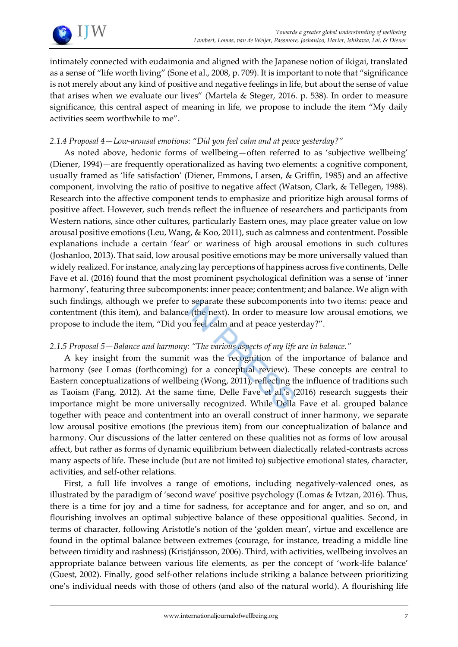

intimately connected with eudaimonia and aligned with the Japanese notion of ikigai, translated as a sense of "life worth living" (Sone et al., 2008, p. 709). It is important to note that "significance is not merely about any kind of positive and negative feelings in life, but about the sense of value that arises when we evaluate our lives" (Martela & Steger, 2016. p. 538). In order to measure significance, this central aspect of meaning in life, we propose to include the item "My daily activities seem worthwhile to me".

#### *2.1.4 Proposal 4—Low-arousal emotions: "Did you feel calm and at peace yesterday?"*

As noted above, hedonic forms of wellbeing—often referred to as 'subjective wellbeing' (Diener, 1994)—are frequently operationalized as having two elements: a cognitive component, usually framed as 'life satisfaction' (Diener, Emmons, Larsen, & Griffin, 1985) and an affective component, involving the ratio of positive to negative affect (Watson, Clark, & Tellegen, 1988). Research into the affective component tends to emphasize and prioritize high arousal forms of positive affect. However, such trends reflect the influence of researchers and participants from Western nations, since other cultures, particularly Eastern ones, may place greater value on low arousal positive emotions (Leu, Wang, & Koo, 2011), such as calmness and contentment. Possible explanations include a certain 'fear' or wariness of high arousal emotions in such cultures (Joshanloo, 2013). That said, low arousal positive emotions may be more universally valued than widely realized. For instance, analyzing lay perceptions of happiness across five continents, Delle Fave et al. (2016) found that the most prominent psychological definition was a sense of 'inner harmony', featuring three subcomponents: inner peace; contentment; and balance. We align with such findings, although we prefer to separate these subcomponents into two items: peace and contentment (this item), and balance (the next). In order to measure low arousal emotions, we propose to include the item, "Did you feel calm and at peace yesterday?".

#### *2.1.5 Proposal 5—Balance and harmony: "The various aspects of my life are in balance."*

A key insight from the summit was the recognition of the importance of balance and harmony (see Lomas (forthcoming) for a conceptual review). These concepts are central to Eastern conceptualizations of wellbeing (Wong, 2011), reflecting the influence of traditions such as Taoism (Fang, 2012). At the same time, Delle Fave et al.'s (2016) research suggests their importance might be more universally recognized. While Della Fave et al. grouped balance together with peace and contentment into an overall construct of inner harmony, we separate low arousal positive emotions (the previous item) from our conceptualization of balance and harmony. Our discussions of the latter centered on these qualities not as forms of low arousal affect, but rather as forms of dynamic equilibrium between dialectically related-contrasts across many aspects of life. These include (but are not limited to) subjective emotional states, character, activities, and self-other relations.

First, a full life involves a range of emotions, including negatively-valenced ones, as illustrated by the paradigm of 'second wave' positive psychology (Lomas & Ivtzan, 2016). Thus, there is a time for joy and a time for sadness, for acceptance and for anger, and so on, and flourishing involves an optimal subjective balance of these oppositional qualities. Second, in terms of character, following Aristotle's notion of the 'golden mean', virtue and excellence are found in the optimal balance between extremes (courage, for instance, treading a middle line between timidity and rashness) (Kristjánsson, 2006). Third, with activities, wellbeing involves an appropriate balance between various life elements, as per the concept of 'work-life balance' (Guest, 2002). Finally, good self-other relations include striking a balance between prioritizing one's individual needs with those of others (and also of the natural world). A flourishing life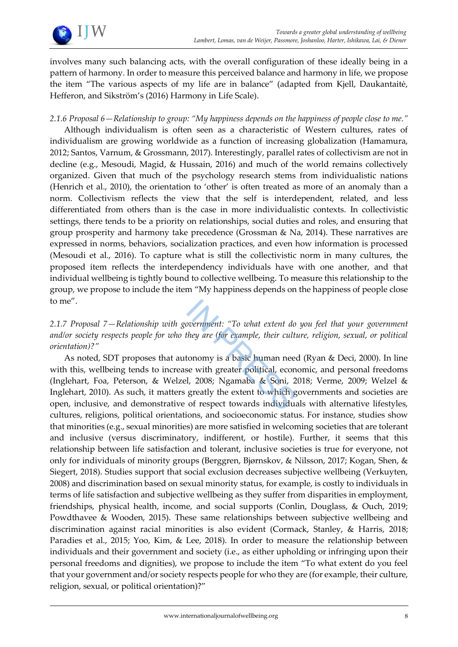

involves many such balancing acts, with the overall configuration of these ideally being in a pattern of harmony. In order to measure this perceived balance and harmony in life, we propose the item "The various aspects of my life are in balance" (adapted from Kjell, Daukantaitė, Hefferon, and Sikström's (2016) Harmony in Life Scale).

#### *2.1.6 Proposal 6—Relationship to group: "My happiness depends on the happiness of people close to me."*

Although individualism is often seen as a characteristic of Western cultures, rates of individualism are growing worldwide as a function of increasing globalization (Hamamura, 2012; Santos, Varnum, & Grossmann, 2017). Interestingly, parallel rates of collectivism are not in decline (e.g., Mesoudi, Magid, & Hussain, 2016) and much of the world remains collectively organized. Given that much of the psychology research stems from individualistic nations (Henrich et al., 2010), the orientation to 'other' is often treated as more of an anomaly than a norm. Collectivism reflects the view that the self is interdependent, related, and less differentiated from others than is the case in more individualistic contexts. In collectivistic settings, there tends to be a priority on relationships, social duties and roles, and ensuring that group prosperity and harmony take precedence (Grossman & Na, 2014). These narratives are expressed in norms, behaviors, socialization practices, and even how information is processed (Mesoudi et al., 2016). To capture what is still the collectivistic norm in many cultures, the proposed item reflects the interdependency individuals have with one another, and that individual wellbeing is tightly bound to collective wellbeing. To measure this relationship to the group, we propose to include the item "My happiness depends on the happiness of people close to me".

## *2.1.7 Proposal 7—Relationship with government: "To what extent do you feel that your government and/or society respects people for who they are (for example, their culture, religion, sexual, or political orientation)?"*

As noted, SDT proposes that autonomy is a basic human need (Ryan & Deci, 2000). In line with this, wellbeing tends to increase with greater political, economic, and personal freedoms (Inglehart, Foa, Peterson, & Welzel, 2008; Ngamaba & Soni, 2018; Verme, 2009; Welzel & Inglehart, 2010). As such, it matters greatly the extent to which governments and societies are open, inclusive, and demonstrative of respect towards individuals with alternative lifestyles, cultures, religions, political orientations, and socioeconomic status. For instance, studies show that minorities (e.g., sexual minorities) are more satisfied in welcoming societies that are tolerant and inclusive (versus discriminatory, indifferent, or hostile). Further, it seems that this relationship between life satisfaction and tolerant, inclusive societies is true for everyone, not only for individuals of minority groups (Berggren, Bjørnskov, & Nilsson, 2017; Kogan, Shen, & Siegert, 2018). Studies support that social exclusion decreases subjective wellbeing (Verkuyten, 2008) and discrimination based on sexual minority status, for example, is costly to individuals in terms of life satisfaction and subjective wellbeing as they suffer from disparities in employment, friendships, physical health, income, and social supports (Conlin, Douglass, & Ouch, 2019; Powdthavee & Wooden, 2015). These same relationships between subjective wellbeing and discrimination against racial minorities is also evident (Cormack, Stanley, & Harris, 2018; Paradies et al., 2015; Yoo, Kim, & Lee, 2018). In order to measure the relationship between individuals and their government and society (i.e., as either upholding or infringing upon their personal freedoms and dignities), we propose to include the item "To what extent do you feel that your government and/or society respects people for who they are (for example, their culture, religion, sexual, or political orientation)?"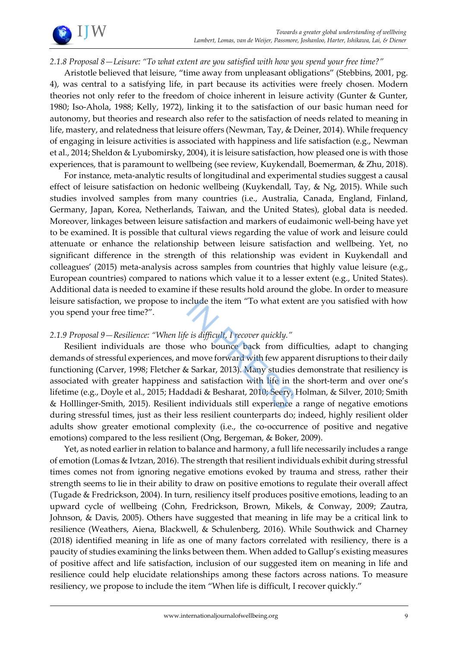

#### *2.1.8 Proposal 8—Leisure: "To what extent are you satisfied with how you spend your free time?"*

Aristotle believed that leisure, "time away from unpleasant obligations" (Stebbins, 2001, pg. 4), was central to a satisfying life, in part because its activities were freely chosen. Modern theories not only refer to the freedom of choice inherent in leisure activity (Gunter & Gunter, 1980; Iso-Ahola, 1988; Kelly, 1972), linking it to the satisfaction of our basic human need for autonomy, but theories and research also refer to the satisfaction of needs related to meaning in life, mastery, and relatedness that leisure offers (Newman, Tay, & Deiner, 2014). While frequency of engaging in leisure activities is associated with happiness and life satisfaction (e.g., Newman et al., 2014; Sheldon & Lyubomirsky, 2004), it is leisure satisfaction, how pleased one is with those experiences, that is paramount to wellbeing (see review, Kuykendall, Boemerman, & Zhu, 2018).

For instance, meta-analytic results of longitudinal and experimental studies suggest a causal effect of leisure satisfaction on hedonic wellbeing (Kuykendall, Tay, & Ng, 2015). While such studies involved samples from many countries (i.e., Australia, Canada, England, Finland, Germany, Japan, Korea, Netherlands, Taiwan, and the United States), global data is needed. Moreover, linkages between leisure satisfaction and markers of eudaimonic well-being have yet to be examined. It is possible that cultural views regarding the value of work and leisure could attenuate or enhance the relationship between leisure satisfaction and wellbeing. Yet, no significant difference in the strength of this relationship was evident in Kuykendall and colleagues' (2015) meta-analysis across samples from countries that highly value leisure (e.g., European countries) compared to nations which value it to a lesser extent (e.g., United States). Additional data is needed to examine if these results hold around the globe. In order to measure leisure satisfaction, we propose to include the item "To what extent are you satisfied with how you spend your free time?".

#### *2.1.9 Proposal 9—Resilience: "When life is difficult, I recover quickly."*

Resilient individuals are those who bounce back from difficulties, adapt to changing demands of stressful experiences, and move forward with few apparent disruptions to their daily functioning (Carver, 1998; Fletcher & Sarkar, 2013). Many studies demonstrate that resiliency is associated with greater happiness and satisfaction with life in the short-term and over one's lifetime (e.g., Doyle et al., 2015; Haddadi & Besharat, 2010; Seery, Holman, & Silver, 2010; Smith & Holllinger-Smith, 2015). Resilient individuals still experience a range of negative emotions during stressful times, just as their less resilient counterparts do; indeed, highly resilient older adults show greater emotional complexity (i.e., the co-occurrence of positive and negative emotions) compared to the less resilient (Ong, Bergeman, & Boker, 2009).

Yet, as noted earlier in relation to balance and harmony, a full life necessarily includes a range of emotion (Lomas & Ivtzan, 2016). The strength that resilient individuals exhibit during stressful times comes not from ignoring negative emotions evoked by trauma and stress, rather their strength seems to lie in their ability to draw on positive emotions to regulate their overall affect (Tugade & Fredrickson, 2004). In turn, resiliency itself produces positive emotions, leading to an upward cycle of wellbeing (Cohn, Fredrickson, Brown, Mikels, & Conway, 2009; Zautra, Johnson, & Davis, 2005). Others have suggested that meaning in life may be a critical link to resilience (Weathers, Aiena, Blackwell, & Schulenberg, 2016). While Southwick and Charney (2018) identified meaning in life as one of many factors correlated with resiliency, there is a paucity of studies examining the links between them. When added to Gallup's existing measures of positive affect and life satisfaction, inclusion of our suggested item on meaning in life and resilience could help elucidate relationships among these factors across nations. To measure resiliency, we propose to include the item "When life is difficult, I recover quickly."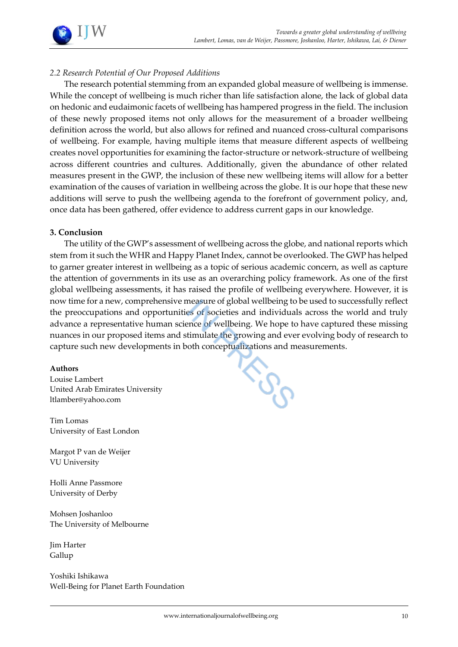

#### *2.2 Research Potential of Our Proposed Additions*

The research potential stemming from an expanded global measure of wellbeing is immense. While the concept of wellbeing is much richer than life satisfaction alone, the lack of global data on hedonic and eudaimonic facets of wellbeing has hampered progress in the field. The inclusion of these newly proposed items not only allows for the measurement of a broader wellbeing definition across the world, but also allows for refined and nuanced cross-cultural comparisons of wellbeing. For example, having multiple items that measure different aspects of wellbeing creates novel opportunities for examining the factor-structure or network-structure of wellbeing across different countries and cultures. Additionally, given the abundance of other related measures present in the GWP, the inclusion of these new wellbeing items will allow for a better examination of the causes of variation in wellbeing across the globe. It is our hope that these new additions will serve to push the wellbeing agenda to the forefront of government policy, and, once data has been gathered, offer evidence to address current gaps in our knowledge.

#### **3. Conclusion**

The utility of the GWP's assessment of wellbeing across the globe, and national reports which stem from it such the WHR and Happy Planet Index, cannot be overlooked. The GWP has helped to garner greater interest in wellbeing as a topic of serious academic concern, as well as capture the attention of governments in its use as an overarching policy framework. As one of the first global wellbeing assessments, it has raised the profile of wellbeing everywhere. However, it is now time for a new, comprehensive measure of global wellbeing to be used to successfully reflect the preoccupations and opportunities of societies and individuals across the world and truly advance a representative human science of wellbeing. We hope to have captured these missing nuances in our proposed items and stimulate the growing and ever evolving body of research to

#### **Authors**

capture such new developments in both conceptualizations and measurements.<br>Authors<br>Lambert Louise Lambert United Arab Emirates University ltlamber@yahoo.com

Tim Lomas University of East London

Margot P van de Weijer VU University

Holli Anne Passmore University of Derby

Mohsen Joshanloo The University of Melbourne

Jim Harter Gallup

Yoshiki Ishikawa Well-Being for Planet Earth Foundation

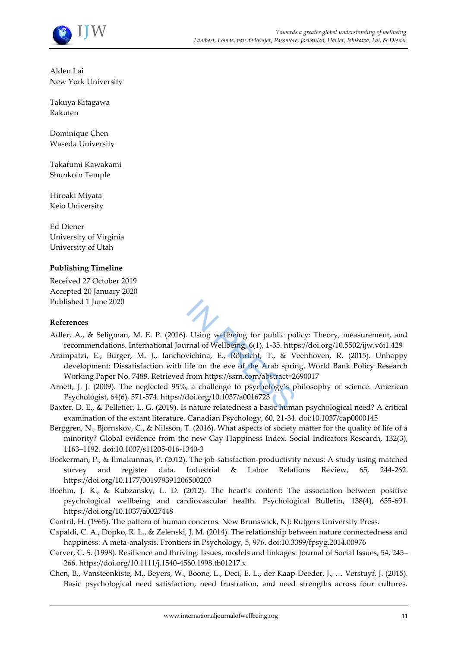

Alden Lai New York University

Takuya Kitagawa Rakuten

Dominique Chen Waseda University

Takafumi Kawakami Shunkoin Temple

Hiroaki Miyata Keio University

Ed Diener University of Virginia University of Utah

#### **Publishing Timeline**

Received 27 October 2019 Accepted 20 January 2020 Published 1 June 2020

#### **References**

- Adler, A., & Seligman, M. E. P. (2016). Using wellbeing for public policy: Theory, measurement, and recommendations. International Journal of Wellbeing, 6(1), 1-35. https://doi.org/10.5502/ijw.v6i1.429
- Arampatzi, E., Burger, M. J., Ianchovichina, E., Röhricht, T., & Veenhoven, R. (2015). Unhappy development: Dissatisfaction with life on the eve of the Arab spring. World Bank Policy Research Working Paper No. 7488. Retrieved from https://ssrn.com/abstract=2690017
- Arnett, J. J. (2009). The neglected 95%, a challenge to psychology's philosophy of science. American Psychologist, 64(6), 571-574. https://doi.org/10.1037/a0016723
- Baxter, D. E., & Pelletier, L. G. (2019). Is nature relatedness a basic human psychological need? A critical examination of the extant literature. Canadian Psychology, 60, 21-34. doi:10.1037/cap0000145
- Berggren, N., Bjørnskov, C., & Nilsson, T. (2016). What aspects of society matter for the quality of life of a minority? Global evidence from the new Gay Happiness Index. Social Indicators Research, 132(3), 1163–1192. doi:10.1007/s11205-016-1340-3
- Bockerman, P., & Ilmakunnas, P. (2012). The job-satisfaction-productivity nexus: A study using matched survey and register data. Industrial & Labor Relations Review, 65, 244-262. https://doi.org/10.1177/001979391206500203
- Boehm, J. K., & Kubzansky, L. D. (2012). The heart's content: The association between positive psychological wellbeing and cardiovascular health. Psychological Bulletin, 138(4), 655-691. https://doi.org/10.1037/a0027448
- Cantril, H. (1965). The pattern of human concerns. New Brunswick, NJ: Rutgers University Press.
- Capaldi, C. A., Dopko, R. L., & Zelenski, J. M. (2014). The relationship between nature connectedness and happiness: A meta-analysis. Frontiers in Psychology, 5, 976. doi:10.3389/fpsyg.2014.00976
- Carver, C. S. (1998). Resilience and thriving: Issues, models and linkages. Journal of Social Issues, 54, 245– 266. https://doi.org/10.1111/j.1540-4560.1998.tb01217.x
- Chen, B., Vansteenkiste, M., Beyers, W., Boone, L., Deci, E. L., der Kaap-Deeder, J., … Verstuyf, J. (2015). Basic psychological need satisfaction, need frustration, and need strengths across four cultures.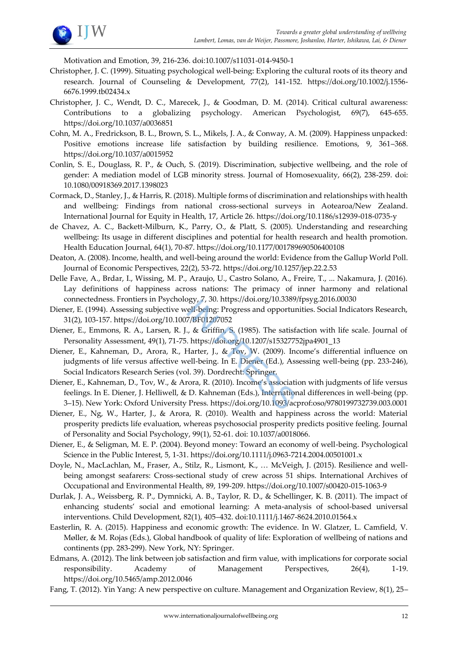

Motivation and Emotion, 39, 216-236. doi:10.1007/s11031-014-9450-1

- Christopher, J. C. (1999). Situating psychological well‐being: Exploring the cultural roots of its theory and research. Journal of Counseling & Development, 77(2), 141-152. https://doi.org/10.1002/j.1556- 6676.1999.tb02434.x
- Christopher, J. C., Wendt, D. C., Marecek, J., & Goodman, D. M. (2014). Critical cultural awareness: Contributions to a globalizing psychology. American Psychologist, 69(7), 645-655. https://doi.org/10.1037/a0036851
- Cohn, M. A., Fredrickson, B. L., Brown, S. L., Mikels, J. A., & Conway, A. M. (2009). Happiness unpacked: Positive emotions increase life satisfaction by building resilience. Emotions, 9, 361–368. https://doi.org/10.1037/a0015952
- Conlin, S. E., Douglass, R. P., & Ouch, S. (2019). Discrimination, subjective wellbeing, and the role of gender: A mediation model of LGB minority stress. Journal of Homosexuality, 66(2), 238-259. doi: 10.1080/00918369.2017.1398023
- Cormack, D., Stanley, J., & Harris, R. (2018). Multiple forms of discrimination and relationships with health and wellbeing: Findings from national cross-sectional surveys in Aotearoa/New Zealand. International Journal for Equity in Health, 17, Article 26. https://doi.org/10.1186/s12939-018-0735-y
- de Chavez, A. C., Backett-Milburn, K., Parry, O., & Platt, S. (2005). Understanding and researching wellbeing: Its usage in different disciplines and potential for health research and health promotion. Health Education Journal, 64(1), 70-87. https://doi.org/10.1177/001789690506400108
- Deaton, A. (2008). Income, health, and well-being around the world: Evidence from the Gallup World Poll. Journal of Economic Perspectives, 22(2), 53-72. https://doi.org/10.1257/jep.22.2.53
- Delle Fave, A., Brdar, I., Wissing, M. P., Araujo, U., Castro Solano, A., Freire, T., ... Nakamura, J. (2016). Lay definitions of happiness across nations: The primacy of inner harmony and relational connectedness. Frontiers in Psychology, 7, 30. https://doi.org/10.3389/fpsyg.2016.00030
- Diener, E. (1994). Assessing subjective well-being: Progress and opportunities. Social Indicators Research, 31(2), 103-157. https://doi.org/10.1007/BF01207052
- Diener, E., Emmons, R. A., Larsen, R. J., & Griffin, S. (1985). The satisfaction with life scale. Journal of Personality Assessment, 49(1), 71-75. https://doi.org/10.1207/s15327752jpa4901\_13
- Diener, E., Kahneman, D., Arora, R., Harter, J., & Tov, W. (2009). Income's differential influence on judgments of life versus affective well-being. In E. Diener (Ed.), Assessing well-being (pp. 233-246), Social Indicators Research Series (vol. 39). Dordrecht: Springer.
- Diener, E., Kahneman, D., Tov, W., & Arora, R. (2010). Income's association with judgments of life versus feelings. In E. Diener, J. Helliwell, & D. Kahneman (Eds.), International differences in well-being (pp. 3–15). New York: Oxford University Press. https://doi.org/10.1093/acprof:oso/9780199732739.003.0001
- Diener, E., Ng, W., Harter, J., & Arora, R. (2010). Wealth and happiness across the world: Material prosperity predicts life evaluation, whereas psychosocial prosperity predicts positive feeling. Journal of Personality and Social Psychology, 99(1), 52-61. doi: 10.1037/a0018066.
- Diener, E., & Seligman, M. E. P. (2004). Beyond money: Toward an economy of well-being. Psychological Science in the Public Interest, 5, 1-31. https://doi.org/10.1111/j.0963-7214.2004.00501001.x
- Doyle, N., MacLachlan, M., Fraser, A., Stilz, R., Lismont, K., … McVeigh, J. (2015). Resilience and wellbeing amongst seafarers: Cross-sectional study of crew across 51 ships. International Archives of Occupational and Environmental Health, 89, 199-209. https://doi.org/10.1007/s00420-015-1063-9
- Durlak, J. A., Weissberg, R. P., Dymnicki, A. B., Taylor, R. D., & Schellinger, K. B. (2011). The impact of enhancing students' social and emotional learning: A meta-analysis of school-based universal interventions. Child Development, 82(1), 405–432. doi:10.1111/j.1467-8624.2010.01564.x
- Easterlin, R. A. (2015). Happiness and economic growth: The evidence. In W. Glatzer, L. Camfield, V. Møller, & M. Rojas (Eds.), Global handbook of quality of life: Exploration of wellbeing of nations and continents (pp. 283-299). New York, NY: Springer.
- Edmans, A. (2012). The link between job satisfaction and firm value, with implications for corporate social responsibility. Academy of Management Perspectives, 26(4), 1-19. https://doi.org/10.5465/amp.2012.0046
- Fang, T. (2012). Yin Yang: A new perspective on culture. Management and Organization Review, 8(1), 25–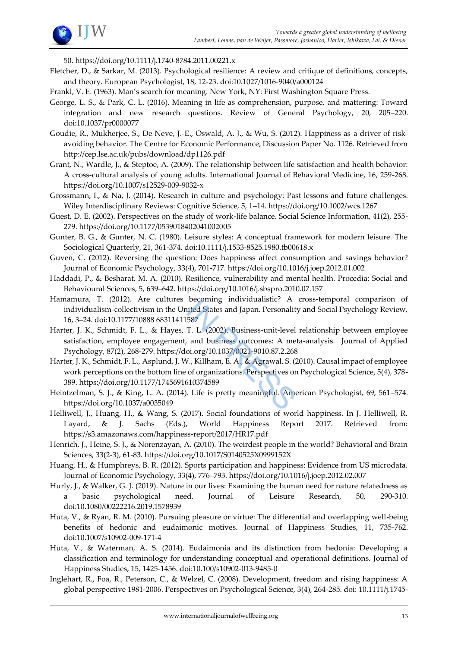

50. https://doi.org/10.1111/j.1740-8784.2011.00221.x

- Fletcher, D., & Sarkar, M. (2013). Psychological resilience: A review and critique of definitions, concepts, and theory. European Psychologist, 18, 12-23. doi:10.1027/1016-9040/a000124
- Frankl, V. E. (1963). Man's search for meaning. New York, NY: First Washington Square Press.
- George, L. S., & Park, C. L. (2016). Meaning in life as comprehension, purpose, and mattering: Toward integration and new research questions. Review of General Psychology, 20, 205–220. doi:10.1037/pr0000077
- Goudie, R., Mukherjee, S., De Neve, J.-E., Oswald, A. J., & Wu, S. (2012). Happiness as a driver of riskavoiding behavior. The Centre for Economic Performance, Discussion Paper No. 1126. Retrieved from http://cep.lse.ac.uk/pubs/download/dp1126.pdf
- Grant, N., Wardle, J., & Steptoe, A. (2009). The relationship between life satisfaction and health behavior: A cross-cultural analysis of young adults. International Journal of Behavioral Medicine, 16, 259-268. https://doi.org/10.1007/s12529-009-9032-x
- Grossmann, I., & Na, J. (2014). Research in culture and psychology: Past lessons and future challenges. Wiley Interdisciplinary Reviews: Cognitive Science, 5, 1–14. https://doi.org/10.1002/wcs.1267
- Guest, D. E. (2002). Perspectives on the study of work-life balance. Social Science Information, 41(2), 255-279. https://doi.org/10.1177/0539018402041002005
- Gunter, B. G., & Gunter, N. C. (1980). Leisure styles: A conceptual framework for modern leisure. The Sociological Quarterly, 21, 361-374. doi:10.1111/j.1533-8525.1980.tb00618.x
- Guven, C. (2012). Reversing the question: Does happiness affect consumption and savings behavior? Journal of Economic Psychology, 33(4), 701-717. https://doi.org/10.1016/j.joep.2012.01.002
- Haddadi, P., & Besharat, M. A. (2010). Resilience, vulnerability and mental health. Procedia: Social and Behavioural Sciences, 5, 639–642. https://doi.org/10.1016/j.sbspro.2010.07.157
- Hamamura, T. (2012). Are cultures becoming individualistic? A cross-temporal comparison of individualism-collectivism in the United States and Japan. Personality and Social Psychology Review, 16, 3–24. doi:10.1177/10888 68311411587
- Harter, J. K., Schmidt, F. L., & Hayes, T. L. (2002). Business-unit-level relationship between employee satisfaction, employee engagement, and business outcomes: A meta-analysis. Journal of Applied Psychology, 87(2), 268-279. https://doi.org/10.1037/0021-9010.87.2.268
- Harter, J. K., Schmidt, F. L., Asplund, J. W., Killham, E. A., & Agrawal, S. (2010). Causal impact of employee work perceptions on the bottom line of organizations. Perspectives on Psychological Science, 5(4), 378- 389. https://doi.org/10.1177/1745691610374589
- Heintzelman, S. J., & King, L. A. (2014). Life is pretty meaningful. American Psychologist, 69, 561–574. https://doi.org/10.1037/a0035049
- Helliwell, J., Huang, H., & Wang, S. (2017). Social foundations of world happiness. In J. Helliwell, R. Layard, & J. Sachs (Eds.), World Happiness Report 2017. Retrieved from: https://s3.amazonaws.com/happiness-report/2017/HR17.pdf
- Henrich, J., Heine, S. J., & Norenzayan, A. (2010). The weirdest people in the world? Behavioral and Brain Sciences, 33(2-3), 61-83. https://doi.org/10.1017/S0140525X0999152X
- Huang, H., & Humphreys, B. R. (2012). Sports participation and happiness: Evidence from US microdata. Journal of Economic Psychology, 33(4), 776–793. https://doi.org/10.1016/j.joep.2012.02.007
- Hurly, J., & Walker, G. J. (2019). Nature in our lives: Examining the human need for nature relatedness as a basic psychological need. Journal of Leisure Research, 50, 290-310. doi:10.1080/00222216.2019.1578939
- Huta, V., & Ryan, R. M. (2010). Pursuing pleasure or virtue: The differential and overlapping well-being benefits of hedonic and eudaimonic motives. Journal of Happiness Studies, 11, 735-762. doi:10.1007/s10902-009-171-4
- Huta, V., & Waterman, A. S. (2014). Eudaimonia and its distinction from hedonia: Developing a classification and terminology for understanding conceptual and operational definitions. Journal of Happiness Studies, 15, 1425-1456. doi:10.100/s10902-013-9485-0
- Inglehart, R., Foa, R., Peterson, C., & Welzel, C. (2008). Development, freedom and rising happiness: A global perspective 1981-2006. Perspectives on Psychological Science, 3(4), 264-285. doi: 10.1111/j.1745-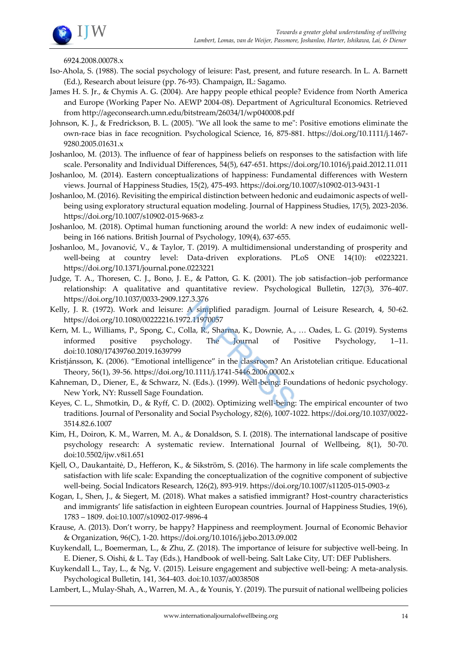

6924.2008.00078.x

- Iso-Ahola, S. (1988). The social psychology of leisure: Past, present, and future research. In L. A. Barnett (Ed.), Research about leisure (pp. 76-93). Champaign, IL: Sagamo.
- James H. S. Jr., & Chymis A. G. (2004). Are happy people ethical people? Evidence from North America and Europe (Working Paper No. AEWP 2004-08). Department of Agricultural Economics. Retrieved from http://ageconsearch.umn.edu/bitstream/26034/1/wp040008.pdf
- Johnson, K. J., & Fredrickson, B. L. (2005). "We all look the same to me": Positive emotions eliminate the own-race bias in face recognition. Psychological Science, 16, 875-881. https://doi.org/10.1111/j.1467- 9280.2005.01631.x
- Joshanloo, M. (2013). The influence of fear of happiness beliefs on responses to the satisfaction with life scale. Personality and Individual Differences, 54(5), 647-651. https://doi.org/10.1016/j.paid.2012.11.011
- Joshanloo, M. (2014). Eastern conceptualizations of happiness: Fundamental differences with Western views. Journal of Happiness Studies, 15(2), 475-493. https://doi.org/10.1007/s10902-013-9431-1
- Joshanloo, M. (2016). Revisiting the empirical distinction between hedonic and eudaimonic aspects of wellbeing using exploratory structural equation modeling. Journal of Happiness Studies, 17(5), 2023-2036. https://doi.org/10.1007/s10902-015-9683-z
- Joshanloo, M. (2018). Optimal human functioning around the world: A new index of eudaimonic wellbeing in 166 nations. British Journal of Psychology, 109(4), 637-655.
- Joshanloo, M., Jovanović, V., & Taylor, T. (2019). A multidimensional understanding of prosperity and well-being at country level: Data-driven explorations. PLoS ONE 14(10): e0223221. https://doi.org/10.1371/journal.pone.0223221
- Judge, T. A., Thoresen, C. J., Bono, J. E., & Patton, G. K. (2001). The job satisfaction–job performance relationship: A qualitative and quantitative review. Psychological Bulletin, 127(3), 376-407. https://doi.org/10.1037/0033-2909.127.3.376
- Kelly, J. R. (1972). Work and leisure: A simplified paradigm. Journal of Leisure Research, 4, 50-62. https://doi.org/10.1080/00222216.1972.11970057
- Kern, M. L., Williams, P., Spong, C., Colla, R., Sharma, K., Downie, A., … Oades, L. G. (2019). Systems informed positive psychology. The Journal of Positive Psychology, 1–11. doi:10.1080/17439760.2019.1639799
- Kristjánsson, K. (2006). "Emotional intelligence" in the classroom? An Aristotelian critique. Educational Theory, 56(1), 39-56. https://doi.org/10.1111/j.1741-5446.2006.00002.x
- Kahneman, D., Diener, E., & Schwarz, N. (Eds.). (1999). Well-being: Foundations of hedonic psychology. New York, NY: Russell Sage Foundation.
- Keyes, C. L., Shmotkin, D., & Ryff, C. D. (2002). Optimizing well-being: The empirical encounter of two traditions. Journal of Personality and Social Psychology, 82(6), 1007-1022. https://doi.org/10.1037/0022- 3514.82.6.1007
- Kim, H., Doiron, K. M., Warren, M. A., & Donaldson, S. I. (2018). The international landscape of positive psychology research: A systematic review. International Journal of Wellbeing, 8(1), 50-70. doi:10.5502/ijw.v8i1.651
- Kjell, O., Daukantaitė, D., Hefferon, K., & Sikström, S. (2016). The harmony in life scale complements the satisfaction with life scale: Expanding the conceptualization of the cognitive component of subjective well-being. Social Indicators Research, 126(2), 893-919. https://doi.org/10.1007/s11205-015-0903-z
- Kogan, I., Shen, J., & Siegert, M. (2018). What makes a satisfied immigrant? Host-country characteristics and immigrants' life satisfaction in eighteen European countries. Journal of Happiness Studies, 19(6), 1783 – 1809. doi:10.1007/s10902-017-9896-4
- Krause, A. (2013). Don't worry, be happy? Happiness and reemployment. Journal of Economic Behavior & Organization, 96(C), 1-20. https://doi.org/10.1016/j.jebo.2013.09.002
- Kuykendall, L., Boemerman, L., & Zhu, Z. (2018). The importance of leisure for subjective well-being. In E. Diener, S. Oishi, & L. Tay (Eds.), Handbook of well-being. Salt Lake City, UT: DEF Publishers.
- Kuykendall L., Tay, L., & Ng, V. (2015). Leisure engagement and subjective well-being: A meta-analysis. Psychological Bulletin, 141, 364-403. doi:10.1037/a0038508
- Lambert, L., Mulay-Shah, A., Warren, M. A., & Younis, Y. (2019). The pursuit of national wellbeing policies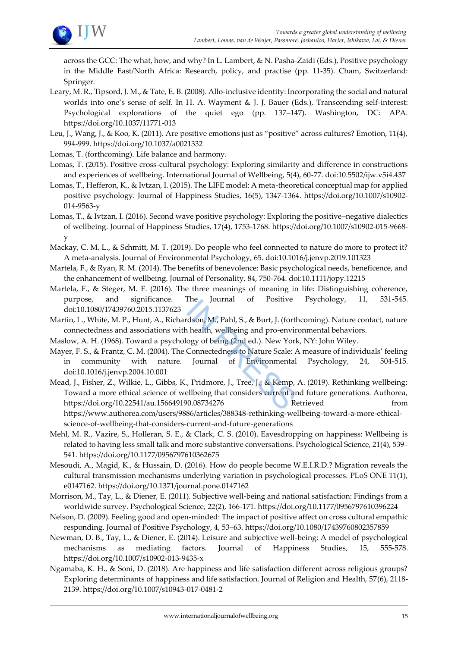

across the GCC: The what, how, and why? In L. Lambert, & N. Pasha-Zaidi (Eds.), Positive psychology in the Middle East/North Africa: Research, policy, and practise (pp. 11-35). Cham, Switzerland: Springer.

- Leary, M. R., Tipsord, J. M., & Tate, E. B. (2008). Allo-inclusive identity: Incorporating the social and natural worlds into one's sense of self. In H. A. Wayment & J. J. Bauer (Eds.), Transcending self-interest: Psychological explorations of the quiet ego (pp. 137–147). Washington, DC: APA. https://doi.org/10.1037/11771-013
- Leu, J., Wang, J., & Koo, K. (2011). Are positive emotions just as "positive" across cultures? Emotion, 11(4), 994-999. https://doi.org/10.1037/a0021332
- Lomas, T. (forthcoming). Life balance and harmony.
- Lomas, T. (2015). Positive cross-cultural psychology: Exploring similarity and difference in constructions and experiences of wellbeing. International Journal of Wellbeing, 5(4), 60-77. doi:10.5502/ijw.v5i4.437
- Lomas, T., Hefferon, K., & Ivtzan, I. (2015). The LIFE model: A meta-theoretical conceptual map for applied positive psychology. Journal of Happiness Studies, 16(5), 1347-1364. https://doi.org/10.1007/s10902- 014-9563-y
- Lomas, T., & Ivtzan, I. (2016). Second wave positive psychology: Exploring the positive–negative dialectics of wellbeing. Journal of Happiness Studies, 17(4), 1753-1768. https://doi.org/10.1007/s10902-015-9668 y
- Mackay, C. M. L., & Schmitt, M. T. (2019). Do people who feel connected to nature do more to protect it? A meta-analysis. Journal of Environmental Psychology, 65. doi:10.1016/j.jenvp.2019.101323
- Martela, F., & Ryan, R. M. (2014). The benefits of benevolence: Basic psychological needs, beneficence, and the enhancement of wellbeing. Journal of Personality, 84, 750-764. doi:10.1111/jopy.12215
- Martela, F., & Steger, M. F. (2016). The three meanings of meaning in life: Distinguishing coherence, purpose, and significance. The Journal of Positive Psychology, 11, 531-545. doi:10.1080/17439760.2015.1137623
- Martin, L., White, M. P., Hunt, A., Richardson, M., Pahl, S., & Burt, J. (forthcoming). Nature contact, nature connectedness and associations with health, wellbeing and pro-environmental behaviors.
- Maslow, A. H. (1968). Toward a psychology of being (2nd ed.). New York, NY: John Wiley.
- Mayer, F. S., & Frantz, C. M. (2004). The Connectedness to Nature Scale: A measure of individuals' feeling in community with nature. Journal of Environmental Psychology, 24, 504-515. doi:10.1016/j.jenvp.2004.10.001
- Mead, J., Fisher, Z., Wilkie, L., Gibbs, K., Pridmore, J., Tree, J., & Kemp, A. (2019). Rethinking wellbeing: Toward a more ethical science of wellbeing that considers current and future generations. Authorea, https://doi.org/10.22541/au.156649190.08734276 Retrieved from https://www.authorea.com/users/9886/articles/388348-rethinking-wellbeing-toward-a-more-ethicalscience-of-wellbeing-that-considers-current-and-future-generations
- Mehl, M. R., Vazire, S., Holleran, S. E., & Clark, C. S. (2010). Eavesdropping on happiness: Wellbeing is related to having less small talk and more substantive conversations. Psychological Science, 21(4), 539– 541. https://doi.org/10.1177/0956797610362675
- Mesoudi, A., Magid, K., & Hussain, D. (2016). How do people become W.E.I.R.D.? Migration reveals the cultural transmission mechanisms underlying variation in psychological processes. PLoS ONE 11(1), e0147162. https://doi.org/10.1371/journal.pone.0147162
- Morrison, M., Tay, L., & Diener, E. (2011). Subjective well-being and national satisfaction: Findings from a worldwide survey. Psychological Science, 22(2), 166-171. https://doi.org/10.1177/0956797610396224
- Nelson, D. (2009). Feeling good and open-minded: The impact of positive affect on cross cultural empathic responding. Journal of Positive Psychology, 4, 53–63. https://doi.org/10.1080/17439760802357859
- Newman, D. B., Tay, L., & Diener, E. (2014). Leisure and subjective well-being: A model of psychological mechanisms as mediating factors. Journal of Happiness Studies, 15, 555-578. https://doi.org/10.1007/s10902-013-9435-x
- Ngamaba, K. H., & Soni, D. (2018). Are happiness and life satisfaction different across religious groups? Exploring determinants of happiness and life satisfaction. Journal of Religion and Health, 57(6), 2118- 2139. https://doi.org/10.1007/s10943-017-0481-2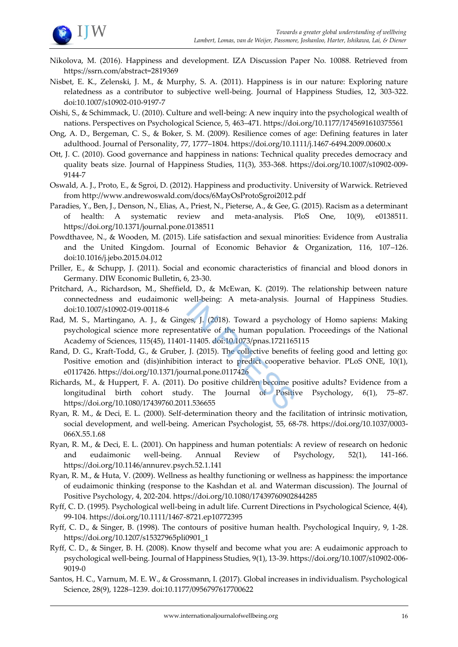

- Nikolova, M. (2016). Happiness and development. IZA Discussion Paper No. 10088. Retrieved from https://ssrn.com/abstract=2819369
- Nisbet, E. K., Zelenski, J. M., & Murphy, S. A. (2011). Happiness is in our nature: Exploring nature relatedness as a contributor to subjective well-being. Journal of Happiness Studies, 12, 303-322. doi:10.1007/s10902-010-9197-7
- Oishi, S., & Schimmack, U. (2010). Culture and well-being: A new inquiry into the psychological wealth of nations. Perspectives on Psychological Science, 5, 463–471. https://doi.org/10.1177/1745691610375561
- Ong, A. D., Bergeman, C. S., & Boker, S. M. (2009). Resilience comes of age: Defining features in later adulthood. Journal of Personality, 77, 1777–1804. https://doi.org/10.1111/j.1467-6494.2009.00600.x
- Ott, J. C. (2010). Good governance and happiness in nations: Technical quality precedes democracy and quality beats size. Journal of Happiness Studies, 11(3), 353-368. https://doi.org/10.1007/s10902-009- 9144-7
- Oswald, A. J., Proto, E., & Sgroi, D. (2012). Happiness and productivity. University of Warwick. Retrieved from http://www.andrewoswald.com/docs/6MayOsProtoSgroi2012.pdf
- Paradies, Y., Ben, J., Denson, N., Elias, A., Priest, N., Pieterse, A., & Gee, G. (2015). Racism as a determinant of health: A systematic review and meta-analysis. PloS One, 10(9), e0138511. https://doi.org/10.1371/journal.pone.0138511
- Powdthavee, N., & Wooden, M. (2015). Life satisfaction and sexual minorities: Evidence from Australia and the United Kingdom. Journal of Economic Behavior & Organization, 116, 107–126. doi:10.1016/j.jebo.2015.04.012
- Priller, E., & Schupp, J. (2011). Social and economic characteristics of financial and blood donors in Germany. DIW Economic Bulletin, 6, 23-30.
- Pritchard, A., Richardson, M., Sheffield, D., & McEwan, K. (2019). The relationship between nature connectedness and eudaimonic well-being: A meta-analysis. Journal of Happiness Studies. doi:10.1007/s10902-019-00118-6
- Rad, M. S., Martingano, A. J., & Ginges, J. (2018). Toward a psychology of Homo sapiens: Making psychological science more representative of the human population. Proceedings of the National Academy of Sciences, 115(45), 11401-11405. doi:10.1073/pnas.1721165115
- Rand, D. G., Kraft-Todd, G., & Gruber, J. (2015). The collective benefits of feeling good and letting go: Positive emotion and (dis)inhibition interact to predict cooperative behavior. PLoS ONE, 10(1), e0117426. https://doi.org/10.1371/journal.pone.0117426
- Richards, M., & Huppert, F. A. (2011). Do positive children become positive adults? Evidence from a longitudinal birth cohort study. The Journal of Positive Psychology, 6(1), 75–87. https://doi.org/10.1080/17439760.2011.536655
- Ryan, R. M., & Deci, E. L. (2000). Self-determination theory and the facilitation of intrinsic motivation, social development, and well-being. American Psychologist, 55, 68-78. https://doi.org/10.1037/0003- 066X.55.1.68
- Ryan, R. M., & Deci, E. L. (2001). On happiness and human potentials: A review of research on hedonic and eudaimonic well-being. Annual Review of Psychology, 52(1), 141-166. https://doi.org/10.1146/annurev.psych.52.1.141
- Ryan, R. M., & Huta, V. (2009). Wellness as healthy functioning or wellness as happiness: the importance of eudaimonic thinking (response to the Kashdan et al. and Waterman discussion). The Journal of Positive Psychology, 4, 202-204. https://doi.org/10.1080/17439760902844285
- Ryff, C. D. (1995). Psychological well-being in adult life. Current Directions in Psychological Science, 4(4), 99-104. https://doi.org/10.1111/1467-8721.ep10772395
- Ryff, C. D., & Singer, B. (1998). The contours of positive human health. Psychological Inquiry, 9, 1-28. https://doi.org/10.1207/s15327965pli0901\_1
- Ryff, C. D., & Singer, B. H. (2008). Know thyself and become what you are: A eudaimonic approach to psychological well-being. Journal of Happiness Studies, 9(1), 13-39. https://doi.org/10.1007/s10902-006- 9019-0
- Santos, H. C., Varnum, M. E. W., & Grossmann, I. (2017). Global increases in individualism. Psychological Science, 28(9), 1228–1239. doi:10.1177/0956797617700622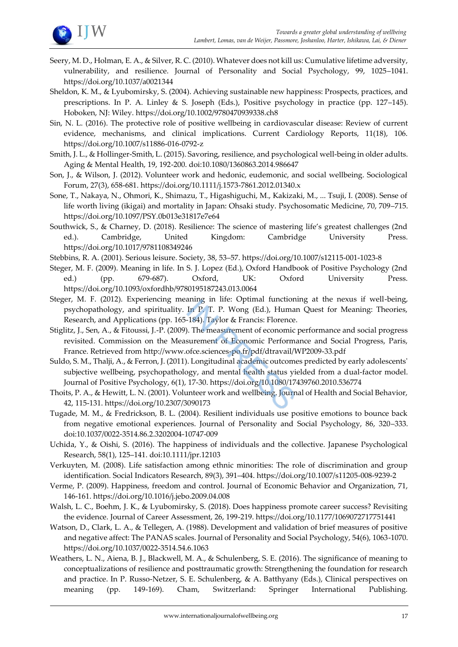

- Seery, M. D., Holman, E. A., & Silver, R. C. (2010). Whatever does not kill us: Cumulative lifetime adversity, vulnerability, and resilience. Journal of Personality and Social Psychology, 99, 1025–1041. https://doi.org/10.1037/a0021344
- Sheldon, K. M., & Lyubomirsky, S. (2004). Achieving sustainable new happiness: Prospects, practices, and prescriptions. In P. A. Linley & S. Joseph (Eds.), Positive psychology in practice (pp. 127–145). Hoboken, NJ: Wiley. https://doi.org/10.1002/9780470939338.ch8
- Sin, N. L. (2016). The protective role of positive wellbeing in cardiovascular disease: Review of current evidence, mechanisms, and clinical implications. Current Cardiology Reports, 11(18), 106. https://doi.org/10.1007/s11886-016-0792-z
- Smith, J. L., & Hollinger-Smith, L. (2015). Savoring, resilience, and psychological well-being in older adults. Aging & Mental Health, 19, 192-200. doi:10.1080/1360863.2014.986647
- Son, J., & Wilson, J. (2012). Volunteer work and hedonic, eudemonic, and social wellbeing. Sociological Forum, 27(3), 658-681. https://doi.org/10.1111/j.1573-7861.2012.01340.x
- Sone, T., Nakaya, N., Ohmori, K., Shimazu, T., Higashiguchi, M., Kakizaki, M., ... Tsuji, I. (2008). Sense of life worth living (ikigai) and mortality in Japan: Ohsaki study. Psychosomatic Medicine, 70, 709–715. https://doi.org/10.1097/PSY.0b013e31817e7e64
- Southwick, S., & Charney, D. (2018). Resilience: The science of mastering life's greatest challenges (2nd ed.). Cambridge, United Kingdom: Cambridge University Press. https://doi.org/10.1017/9781108349246
- Stebbins, R. A. (2001). Serious leisure. Society, 38, 53–57. https://doi.org/10.1007/s12115-001-1023-8
- Steger, M. F. (2009). Meaning in life. In S. J. Lopez (Ed.), Oxford Handbook of Positive Psychology (2nd ed.) (pp. 679-687). Oxford, UK: Oxford University Press. https://doi.org/10.1093/oxfordhb/9780195187243.013.0064
- Steger, M. F. (2012). Experiencing meaning in life: Optimal functioning at the nexus if well-being, psychopathology, and spirituality. In P. T. P. Wong (Ed.), Human Quest for Meaning: Theories, Research, and Applications (pp. 165-184). Taylor & Francis: Florence.
- Stiglitz, J., Sen, A., & Fitoussi, J.-P. (2009). The measurement of economic performance and social progress revisited. Commission on the Measurement of Economic Performance and Social Progress, Paris, France. Retrieved from http://www.ofce.sciences-po.fr/pdf/dtravail/WP2009-33.pdf
- Suldo, S. M., Thalji, A., & Ferron, J. (2011). Longitudinal academic outcomes predicted by early adolescents' subjective wellbeing, psychopathology, and mental health status yielded from a dual-factor model. Journal of Positive Psychology, 6(1), 17-30. https://doi.org/10.1080/17439760.2010.536774
- Thoits, P. A., & Hewitt, L. N. (2001). Volunteer work and wellbeing. Journal of Health and Social Behavior, 42, 115-131. https://doi.org/10.2307/3090173
- Tugade, M. M., & Fredrickson, B. L. (2004). Resilient individuals use positive emotions to bounce back from negative emotional experiences. Journal of Personality and Social Psychology, 86, 320–333. doi:10.1037/0022-3514.86.2.3202004-10747-009
- Uchida, Y., & Oishi, S. (2016). The happiness of individuals and the collective. Japanese Psychological Research, 58(1), 125–141. doi:10.1111/jpr.12103
- Verkuyten, M. (2008). Life satisfaction among ethnic minorities: The role of discrimination and group identification. Social Indicators Research, 89(3), 391–404. https://doi.org/10.1007/s11205-008-9239-2
- Verme, P. (2009). Happiness, freedom and control. Journal of Economic Behavior and Organization, 71, 146-161. https://doi.org/10.1016/j.jebo.2009.04.008
- Walsh, L. C., Boehm, J. K., & Lyubomirsky, S. (2018). Does happiness promote career success? Revisiting the evidence. Journal of Career Assessment, 26, 199-219. https://doi.org/10.1177/1069072717751441
- Watson, D., Clark, L. A., & Tellegen, A. (1988). Development and validation of brief measures of positive and negative affect: The PANAS scales. Journal of Personality and Social Psychology, 54(6), 1063-1070. https://doi.org/10.1037/0022-3514.54.6.1063
- Weathers, L. N., Aiena, B. J., Blackwell, M. A., & Schulenberg, S. E. (2016). The significance of meaning to conceptualizations of resilience and posttraumatic growth: Strengthening the foundation for research and practice. In P. Russo-Netzer, S. E. Schulenberg, & A. Batthyany (Eds.), Clinical perspectives on meaning (pp. 149-169). Cham, Switzerland: Springer International Publishing.